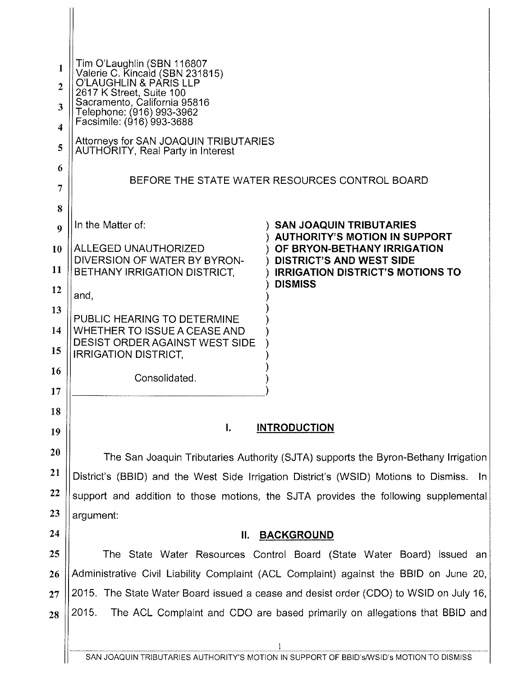| 1<br>$\overline{2}$<br>3<br>$\overline{\bf{4}}$ | Tim O'Laughlin (SBN 116807<br>Valerie C. Kincaid (SBN 231815)<br>O'LAUGHLIN & PARIS LLP<br>2617 K Street, Suite 100<br>Sacramento, California 95816<br>Telephone: (916) 993-3962<br>Facsimile: (916) 993-3688 |                                                                                    |  |
|-------------------------------------------------|---------------------------------------------------------------------------------------------------------------------------------------------------------------------------------------------------------------|------------------------------------------------------------------------------------|--|
| 5                                               | Attorneys for SAN JOAQUIN TRIBUTARIES<br>AUTHORITY, Real Party in Interest                                                                                                                                    |                                                                                    |  |
| 6                                               |                                                                                                                                                                                                               |                                                                                    |  |
| 7                                               | BEFORE THE STATE WATER RESOURCES CONTROL BOARD                                                                                                                                                                |                                                                                    |  |
| 8                                               |                                                                                                                                                                                                               |                                                                                    |  |
| $\boldsymbol{Q}$                                | In the Matter of:                                                                                                                                                                                             | <b>SAN JOAQUIN TRIBUTARIES</b><br><b>AUTHORITY'S MOTION IN SUPPORT</b>             |  |
| 10                                              | ALLEGED UNAUTHORIZED<br>DIVERSION OF WATER BY BYRON-                                                                                                                                                          | OF BRYON-BETHANY IRRIGATION<br><b>DISTRICT'S AND WEST SIDE</b>                     |  |
| 11                                              | BETHANY IRRIGATION DISTRICT.                                                                                                                                                                                  | <b>IRRIGATION DISTRICT'S MOTIONS TO</b>                                            |  |
| 12                                              | and,                                                                                                                                                                                                          | <b>DISMISS</b>                                                                     |  |
| 13                                              | PUBLIC HEARING TO DETERMINE                                                                                                                                                                                   |                                                                                    |  |
| 14                                              | WHETHER TO ISSUE A CEASE AND<br>DESIST ORDER AGAINST WEST SIDE                                                                                                                                                |                                                                                    |  |
| 15                                              | <b>IRRIGATION DISTRICT,</b>                                                                                                                                                                                   |                                                                                    |  |
| 16                                              | Consolidated.                                                                                                                                                                                                 |                                                                                    |  |
| 17                                              |                                                                                                                                                                                                               |                                                                                    |  |
| 18                                              | I.<br><b>INTRODUCTION</b>                                                                                                                                                                                     |                                                                                    |  |
| 19                                              |                                                                                                                                                                                                               |                                                                                    |  |
| 20                                              |                                                                                                                                                                                                               | The San Joaquin Tributaries Authority (SJTA) supports the Byron-Bethany Irrigation |  |
| 21                                              | District's (BBID) and the West Side Irrigation District's (WSID) Motions to Dismiss. In                                                                                                                       |                                                                                    |  |
| 22                                              | support and addition to those motions, the SJTA provides the following supplemental                                                                                                                           |                                                                                    |  |
| 23                                              | argument:                                                                                                                                                                                                     |                                                                                    |  |
| 24                                              | Н.<br><b>BACKGROUND</b>                                                                                                                                                                                       |                                                                                    |  |
| 25                                              | The State Water Resources Control Board (State Water Board) issued an                                                                                                                                         |                                                                                    |  |
| 26                                              | Administrative Civil Liability Complaint (ACL Complaint) against the BBID on June 20,                                                                                                                         |                                                                                    |  |
| 27                                              | 2015. The State Water Board issued a cease and desist order (CDO) to WSID on July 16,<br>2015.<br>The ACL Complaint and CDO are based primarily on allegations that BBID and                                  |                                                                                    |  |
| 28                                              |                                                                                                                                                                                                               |                                                                                    |  |
|                                                 |                                                                                                                                                                                                               |                                                                                    |  |

 $\mathbb{I}$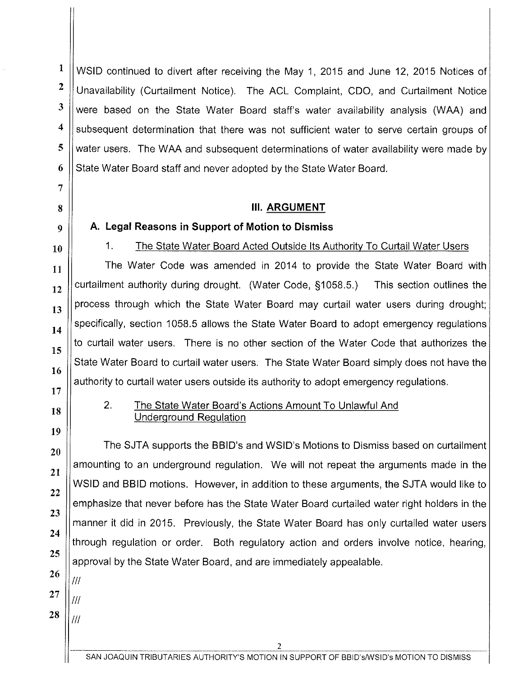1 2 3 4 5 WSID continued to divert after receiving the May 1, 2015 and June 12, 2015 Notices of Unavailability (Curtailment Notice). The ACL Complaint, COO, and Curtailment Notice were based on the State Water Board staff's water availability analysis (WAA) and subsequent determination that there was not sufficient water to serve certain groups of water users. The WAA and subsequent determinations of water availability were made by State Water Board staff and never adopted by the State Water Board.

### 8 Ill. **ARGUMENT**

6

7

12

13

14

15

16

# $9 \parallel$  A. Legal Reasons in Support of Motion to Dismiss 10 1. The State Water Board Acted Outside Its Authority To Curtail Water Users

 $\begin{array}{c|c|c|c|c|c|c|c|c} \hline \textbf{1} & \textbf{1} & \textbf{1} & \textbf{1} & \textbf{1} & \textbf{1} & \textbf{1} \\ \hline \textbf{1} & \textbf{1} & \textbf{1} & \textbf{1} & \textbf{1} & \textbf{1} & \textbf{1} & \textbf{1} & \textbf{1} & \textbf{1} & \textbf{1} \\ \hline \textbf{1} & \textbf{1} & \textbf{1} & \textbf{1} & \textbf{1} & \textbf{1} & \textbf{1} & \textbf{1} & \textbf{1}$ curtailment authority during drought. (Water Code, §1058.5.) This section outlines the process through which the State Water Board may curtail water users during drought; specifically, section 1058.5 allows the State Water Board to adopt emergency regulations to curtail water users. There is no other section of the Water Code that authorizes the State Water Board to curtail water users. The State Water Board simply does not have the authority to curtail water users outside its authority to adopt emergency regulations.

## 17 18

19

20

21

22

23

24

25

## 2. The State Water Board's Actions Amount To Unlawful And Underground Regulation

The SJTA supports the BBID's and WSID's Motions to Dismiss based on curtailment amounting to an underground regulation. We will not repeat the arguments made in the WSID and BBID motions. However, in addition to these arguments, the SJTA would like to emphasize that never before has the State Water Board curtailed water right holders in the manner it did in 2015. Previously, the State Water Board has only curtailed water users through regulation or order. Both regulatory action and orders involve notice, hearing, approval by the State Water Board, and are immediately appealable.

26

 $III$ 

Iff

- 27
- 28 Iff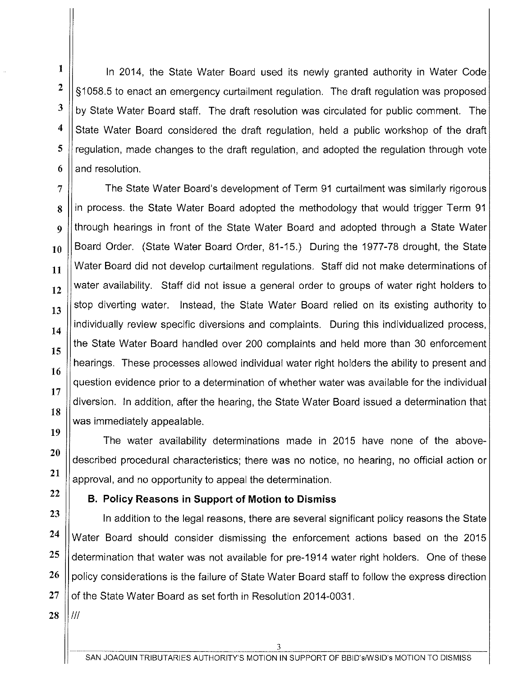In 2014, the State Water Board used its newly granted authority in Water Code §1058.5 to enact an emergency curtailment regulation. The draft regulation was proposed by State Water Board staff. The draft resolution was circulated for public comment. The State Water Board considered the draft regulation, held a public workshop of the draft regulation, made changes to the draft regulation, and adopted the regulation through vote and resolution.

The State Water Board's development of Term 91 curtailment was similarly rigorous in process. the State Water Board adopted the methodology that would trigger Term 91 through hearings in front of the State Water Board and adopted through a State Water Board Order. (State Water Board Order, 81-15.) During the 1977-78 drought, the State Water Board did not develop curtailment regulations. Staff did not make determinations of water availability. Staff did not issue a general order to groups of water right holders to stop diverting water. Instead, the State Water Board relied on its existing authority to individually review specific diversions and complaints. During this individualized process, the State Water Board handled over 200 complaints and held more than 30 enforcement hearings. These processes allowed individual water right holders the ability to present and question evidence prior to a determination of whether water was available for the individual diversion. In addition, after the hearing, the State Water Board issued a determination that was immediately appealable.

The water availability determinations made in 2015 have none of the abovedescribed procedural characteristics; there was no notice, no hearing, no official action or approval, and no opportunity to appeal the determination.

## **B. Policy Reasons in Support of Motion to Dismiss**

**23 24**  In addition to the legal reasons, there are several significant policy reasons the State Water Board should consider dismissing the enforcement actions based on the 2015 determination that water was not available for pre-1914 water right holders. One of these policy considerations is the failure of State Water Board staff to follow the express direction of the State Water Board as set forth in Resolution 2014-0031.

**28**  Ill

I

**2** 

3

**4** 

**5** 

6

7

8

 $\boldsymbol{Q}$ 

**10** 

**11** 

**12** 

**13** 

**14** 

**15** 

**16** 

**17** 

**18** 

**19** 

**20** 

**21** 

**22** 

**25** 

**26** 

27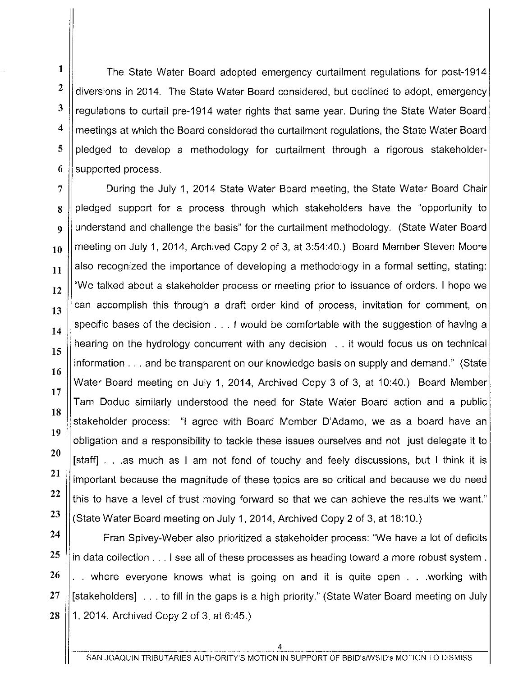**1**  2 3 **4**  The State Water Board adopted emergency curtailment regulations for post-1914 diversions in 2014. The State Water Board considered, but declined to adopt, emergency regulations to curtail pre-1914 water rights that same year. During the State Water Board meetings at which the Board considered the curtailment regulations, the State Water Board pledged to develop a methodology for curtailment through a rigorous stakeholdersupported process.

During the July 1, 2014 State Water Board meeting, the State Water Board Chair pledged support for a process through which stakeholders have the "opportunity to understand and challenge the basis" for the curtailment methodology. (State Water Board meeting on July 1, 2014, Archived Copy 2 of 3, at 3:54:40.) Board Member Steven Moore also recognized the importance of developing a methodology in a formal setting, stating: "We talked about a stakeholder process or meeting prior to issuance of orders. I hope we can accomplish this through a draft order kind of process, invitation for comment, on specific bases of the decision . . . I would be comfortable with the suggestion of having a hearing on the hydrology concurrent with any decision .. it would focus us on technical information ... and be transparent on our knowledge basis on supply and demand." (State Water Board meeting on July 1, 2014, Archived Copy 3 of 3, at 10:40.) Board Member Tam Doduc similarly understood the need for State Water Board action and a public stakeholder process: "I agree with Board Member D'Adamo, we as a board have an obligation and a responsibility to tackle these issues ourselves and not just delegate it to [staff] ... as much as I am not fond of touchy and feely discussions, but I think it is important because the magnitude of these topics are so critical and because we do need this to have a level of trust moving forward so that we can achieve the results we want." (State Water Board meeting on July 1, 2014, Archived Copy 2 of 3, at 18:10.)

Fran Spivey-Weber also prioritized a stakeholder process: "We have a lot of deficits in data collection ... I see all of these processes as heading toward a more robust system . . . where everyone knows what is going on and it is quite open . . .working with [stakeholders] ... to fill in the gaps is a high priority." (State Water Board meeting on July 1, 2014, Archived Copy 2 of 3, at 6:45.)

26

27

28

5

6

7

8

9

**10** 

**11** 

**12** 

**13** 

**14** 

**15** 

**16**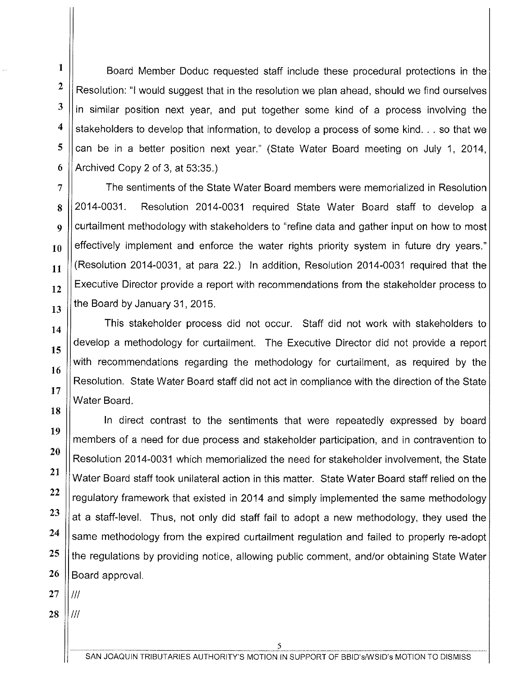**1**  3 Board Member Doduc requested staff include these procedural protections in the Resolution: "I would suggest that in the resolution we plan ahead, should we find ourselves in similar position next year, and put together some kind of a process involving the stakeholders to develop that information, to develop a process of some kind... so that we can be in a better position next year." (State Water Board meeting on July 1, 2014, Archived Copy 2 of 3, at 53:35.)

The sentiments of the State Water Board members were memorialized in Resolution 2014-0031. Resolution 2014-0031 required State Water Board staff to develop a curtailment methodology with stakeholders to "refine data and gather input on how to most effectively implement and enforce the water rights priority system in future dry years." (Resolution 2014-0031, at para 22.) In addition, Resolution 2014-0031 required that the Executive Director provide a report with recommendations from the stakeholder process to the Board by January 31, 2015.

This stakeholder process did not occur. Staff did not work with stakeholders to develop a methodology for curtailment. The Executive Director did not provide a report with recommendations regarding the methodology for curtailment, as required by the Resolution. State Water Board staff did not act in compliance with the direction of the State Water Board.

In direct contrast to the sentiments that were repeatedly expressed by board members of a need for due process and stakeholder participation, and in contravention to Resolution 2014-0031 which memorialized the need for stakeholder involvement, the State Water Board staff took unilateral action in this matter. State Water Board staff relied on the regulatory framework that existed in 2014 and simply implemented the same methodology at a staff-level. Thus, not only did staff fail to adopt a new methodology, they used the same methodology from the expired curtailment regulation and failed to properly re-adopt the regulations by providing notice, allowing public comment, and/or obtaining State Water Board approval.

27 Ill

2

**4** 

**5** 

6

7

**8** 

**9** 

**10** 

**11** 

**12** 

**13** 

**14** 

**15** 

**16** 

**17** 

**18** 

**19** 

**20** 

**21** 

**22** 

23

**24** 

**25** 

**26** 

**28**  Ill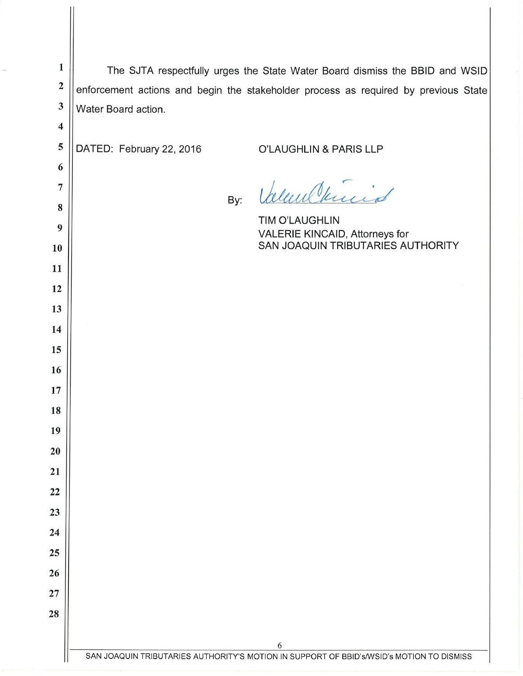| $\mathbf{1}$<br>$\overline{\mathbf{c}}$ | The SJTA respectfully urges the State Water Board dismiss the BBID and WSID                   |  |  |
|-----------------------------------------|-----------------------------------------------------------------------------------------------|--|--|
| $\mathbf{3}$                            | enforcement actions and begin the stakeholder process as required by previous State           |  |  |
|                                         | Water Board action.                                                                           |  |  |
| $\overline{\mathbf{4}}$                 |                                                                                               |  |  |
| 5                                       | DATED: February 22, 2016<br>O'LAUGHLIN & PARIS LLP                                            |  |  |
| 6                                       |                                                                                               |  |  |
| $\overline{7}$                          | Valent Vincia<br>By:                                                                          |  |  |
| 8                                       | <b>TIM O'LAUGHLIN</b>                                                                         |  |  |
| 9                                       | VALERIE KINCAID, Attorneys for<br>SAN JOAQUIN TRIBUTARIES AUTHORITY                           |  |  |
| 10                                      |                                                                                               |  |  |
| 11                                      |                                                                                               |  |  |
| 12                                      |                                                                                               |  |  |
| 13                                      |                                                                                               |  |  |
| 14                                      |                                                                                               |  |  |
| 15                                      |                                                                                               |  |  |
| 16                                      |                                                                                               |  |  |
| 17                                      |                                                                                               |  |  |
| 18                                      |                                                                                               |  |  |
| 19<br>20                                |                                                                                               |  |  |
| 21                                      |                                                                                               |  |  |
| 22                                      |                                                                                               |  |  |
| 23                                      |                                                                                               |  |  |
| 24                                      |                                                                                               |  |  |
| 25                                      |                                                                                               |  |  |
| 26                                      |                                                                                               |  |  |
| 27                                      |                                                                                               |  |  |
| 28                                      |                                                                                               |  |  |
|                                         |                                                                                               |  |  |
|                                         | 6<br>SAN JOAQUIN TRIBUTARIES AUTHORITY'S MOTION IN SUPPORT OF BBID'S/WSID'S MOTION TO DISMISS |  |  |
|                                         |                                                                                               |  |  |

II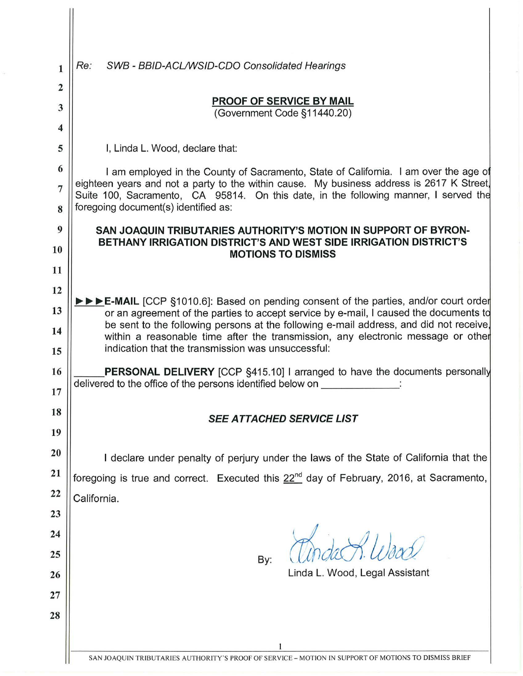| 1                | Re:<br>SWB - BBID-ACL/WSID-CDO Consolidated Hearings                                                                                                                                                                                     |  |  |
|------------------|------------------------------------------------------------------------------------------------------------------------------------------------------------------------------------------------------------------------------------------|--|--|
| 2                | <b>PROOF OF SERVICE BY MAIL</b>                                                                                                                                                                                                          |  |  |
| 3                | (Government Code §11440.20)                                                                                                                                                                                                              |  |  |
| $\boldsymbol{4}$ |                                                                                                                                                                                                                                          |  |  |
| 5                | I, Linda L. Wood, declare that:                                                                                                                                                                                                          |  |  |
| 6                | I am employed in the County of Sacramento, State of California. I am over the age of                                                                                                                                                     |  |  |
| $\overline{7}$   | eighteen years and not a party to the within cause. My business address is 2617 K Street,<br>Suite 100, Sacramento, CA 95814. On this date, in the following manner, I served the                                                        |  |  |
| 8                | foregoing document(s) identified as:                                                                                                                                                                                                     |  |  |
| 9                | SAN JOAQUIN TRIBUTARIES AUTHORITY'S MOTION IN SUPPORT OF BYRON-                                                                                                                                                                          |  |  |
| 10               | BETHANY IRRIGATION DISTRICT'S AND WEST SIDE IRRIGATION DISTRICT'S<br><b>MOTIONS TO DISMISS</b>                                                                                                                                           |  |  |
| 11               |                                                                                                                                                                                                                                          |  |  |
| 12               |                                                                                                                                                                                                                                          |  |  |
| 13               | $\triangleright \triangleright \triangleright \triangleright$ E-MAIL [CCP §1010.6]: Based on pending consent of the parties, and/or court order<br>or an agreement of the parties to accept service by e-mail, I caused the documents to |  |  |
| 14               | be sent to the following persons at the following e-mail address, and did not receive,<br>within a reasonable time after the transmission, any electronic message or other<br>indication that the transmission was unsuccessful:         |  |  |
| 15               |                                                                                                                                                                                                                                          |  |  |
| 16               | <b>PERSONAL DELIVERY</b> [CCP §415.10] I arranged to have the documents personally                                                                                                                                                       |  |  |
| 17               | delivered to the office of the persons identified below on                                                                                                                                                                               |  |  |
| 18               | SEE ATTACHED SERVICE LIST                                                                                                                                                                                                                |  |  |
| 19               |                                                                                                                                                                                                                                          |  |  |
| 20               | I declare under penalty of perjury under the laws of the State of California that the                                                                                                                                                    |  |  |
| 21               | foregoing is true and correct. Executed this 22 <sup>nd</sup> day of February, 2016, at Sacramento,                                                                                                                                      |  |  |
| 22               | California.                                                                                                                                                                                                                              |  |  |
| 23               |                                                                                                                                                                                                                                          |  |  |
| 24               |                                                                                                                                                                                                                                          |  |  |
| 25               | By:                                                                                                                                                                                                                                      |  |  |
| 26               | Linda L. Wood, Legal Assistant                                                                                                                                                                                                           |  |  |
| 27               |                                                                                                                                                                                                                                          |  |  |
| 28               |                                                                                                                                                                                                                                          |  |  |
|                  |                                                                                                                                                                                                                                          |  |  |
|                  | 1                                                                                                                                                                                                                                        |  |  |
|                  | SAN JOAQUIN TRIBUTARIES AUTHORITY'S PROOF OF SERVICE - MOTION IN SUPPORT OF MOTIONS TO DISMISS BRIEF                                                                                                                                     |  |  |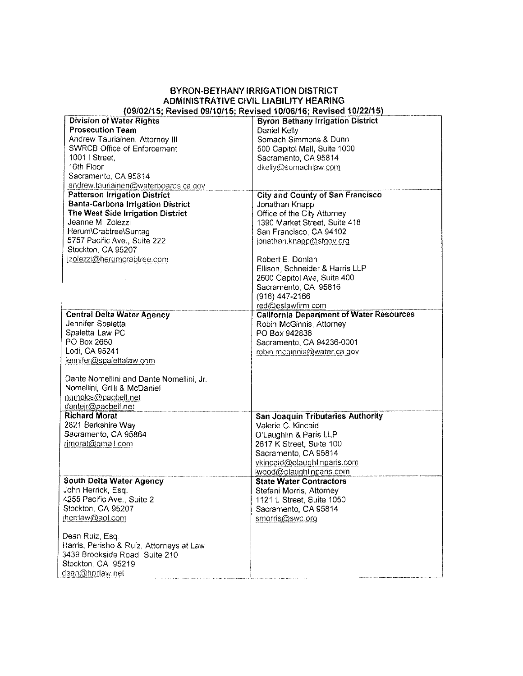# BYRON-BETHANY IRRIGATION DISTRICT ADMINISTRATIVE CIVIL LIABILITY HEARING<br>(09/02/15; Revised 09/10/15; Revised 10/06/16; Revised 10/22/15)

| $1000$ and $100000$ and $100000$ and $100000$ and $100000$ and $1000000$ and $100000$ and $100000$<br><b>Division of Water Rights</b> | <b>Byron Bethany Irrigation District</b>        |
|---------------------------------------------------------------------------------------------------------------------------------------|-------------------------------------------------|
| <b>Prosecution Team</b>                                                                                                               | Daniel Kelly                                    |
| Andrew Tauriainen, Attorney III                                                                                                       | Somach Simmons & Dunn                           |
| <b>SWRCB Office of Enforcement</b>                                                                                                    | 500 Capitol Mall, Suite 1000,                   |
| 1001   Street,                                                                                                                        | Sacramento, CA 95814                            |
| 16th Floor                                                                                                                            | dkelly@somachlaw.com                            |
| Sacramento, CA 95814                                                                                                                  |                                                 |
| andrew tauriainen@waterboards.ca.gov                                                                                                  |                                                 |
| <b>Patterson Irrigation District</b>                                                                                                  | <b>City and County of San Francisco</b>         |
| <b>Banta-Carbona Irrigation District</b>                                                                                              | Jonathan Knapp                                  |
| The West Side Irrigation District                                                                                                     | Office of the City Attorney                     |
| Jeanne M. Zolezzi                                                                                                                     | 1390 Market Street, Suite 418                   |
| Herum\Crabtree\Suntag                                                                                                                 | San Francisco, CA 94102                         |
| 5757 Pacific Ave., Suite 222                                                                                                          |                                                 |
| Stockton, CA 95207                                                                                                                    | jonathan.knapp@sfgov.org                        |
| jzolezzi@herumcrabtree.com                                                                                                            | Robert E. Donlan                                |
|                                                                                                                                       |                                                 |
|                                                                                                                                       | Ellison, Schneider & Harris LLP                 |
|                                                                                                                                       | 2600 Capitol Ave, Suite 400                     |
|                                                                                                                                       | Sacramento CA 95816                             |
|                                                                                                                                       | (916) 447-2166                                  |
|                                                                                                                                       | red@eslawfirm.com                               |
| <b>Central Delta Water Agency</b>                                                                                                     | <b>California Department of Water Resources</b> |
| Jennifer Spaletta                                                                                                                     | Robin McGinnis, Attorney                        |
| Spaletta Law PC                                                                                                                       | PO Box 942836                                   |
| PO Box 2660                                                                                                                           | Sacramento, CA 94236-0001                       |
| Lodi, CA 95241                                                                                                                        | robin mcginnis@water.ca.gov                     |
| jennifer@spalettalaw.com                                                                                                              |                                                 |
|                                                                                                                                       |                                                 |
| Dante Nomellini and Dante Nomellini, Jr.                                                                                              |                                                 |
| Nomellini, Grilli & McDaniel                                                                                                          |                                                 |
| ngmplcs@pacbell.net                                                                                                                   |                                                 |
| dantejr@pacbell.net                                                                                                                   |                                                 |
| <b>Richard Morat</b>                                                                                                                  | <b>San Joaquin Tributaries Authority</b>        |
| 2821 Berkshire Way                                                                                                                    | Valerie C. Kincaid                              |
| Sacramento, CA 95864                                                                                                                  | O'Laughlin & Paris LLP                          |
| rimorat@gmail.com                                                                                                                     | 2617 K Street, Suite 100                        |
|                                                                                                                                       | Sacramento, CA 95814                            |
|                                                                                                                                       | vkincaid@olaughlinparis.com                     |
|                                                                                                                                       | wood@olaughlinparis.com                         |
| <b>South Delta Water Agency</b>                                                                                                       | <b>State Water Contractors</b>                  |
| John Herrick, Esq.                                                                                                                    | Stefani Morris, Attorney                        |
| 4255 Pacific Ave., Suite 2                                                                                                            | 1121 L Street, Suite 1050                       |
| Stockton, CA 95207                                                                                                                    | Sacramento, CA 95814                            |
| jherrlaw@aol.com                                                                                                                      | smorris@swc.org                                 |
| Dean Ruiz, Esq.                                                                                                                       |                                                 |
| Harris, Perisho & Ruíz, Attorneys at Law                                                                                              |                                                 |
| 3439 Brookside Road, Suite 210                                                                                                        |                                                 |
| Stockton, CA 95219                                                                                                                    |                                                 |
| dean@hprlaw.net                                                                                                                       |                                                 |
|                                                                                                                                       |                                                 |